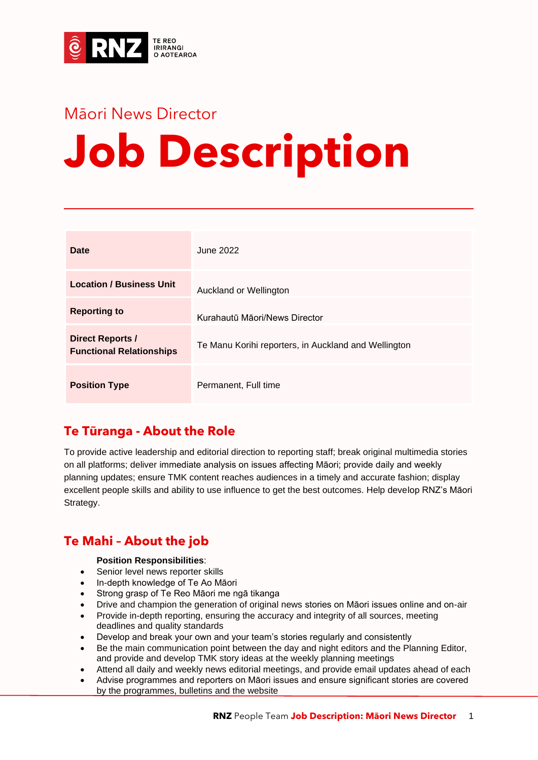

## Māori News Director **Job Description**

| <b>Date</b>                                                | June 2022                                            |
|------------------------------------------------------------|------------------------------------------------------|
| <b>Location / Business Unit</b>                            | Auckland or Wellington                               |
| <b>Reporting to</b>                                        | Kurahautū Māori/News Director                        |
| <b>Direct Reports /</b><br><b>Functional Relationships</b> | Te Manu Korihi reporters, in Auckland and Wellington |
| <b>Position Type</b>                                       | Permanent, Full time                                 |

## **Te Tūranga - About the Role**

To provide active leadership and editorial direction to reporting staff; break original multimedia stories on all platforms; deliver immediate analysis on issues affecting Māori; provide daily and weekly planning updates; ensure TMK content reaches audiences in a timely and accurate fashion; display excellent people skills and ability to use influence to get the best outcomes. Help develop RNZ's Māori Strategy.

## **Te Mahi – About the job**

#### **Position Responsibilities**:

- Senior level news reporter skills
- In-depth knowledge of Te Ao Māori
- Strong grasp of Te Reo Māori me ngā tikanga
- Drive and champion the generation of original news stories on Māori issues online and on-air
- Provide in-depth reporting, ensuring the accuracy and integrity of all sources, meeting deadlines and quality standards
- Develop and break your own and your team's stories regularly and consistently
- Be the main communication point between the day and night editors and the Planning Editor, and provide and develop TMK story ideas at the weekly planning meetings
- Attend all daily and weekly news editorial meetings, and provide email updates ahead of each
- Advise programmes and reporters on Māori issues and ensure significant stories are covered by the programmes, bulletins and the website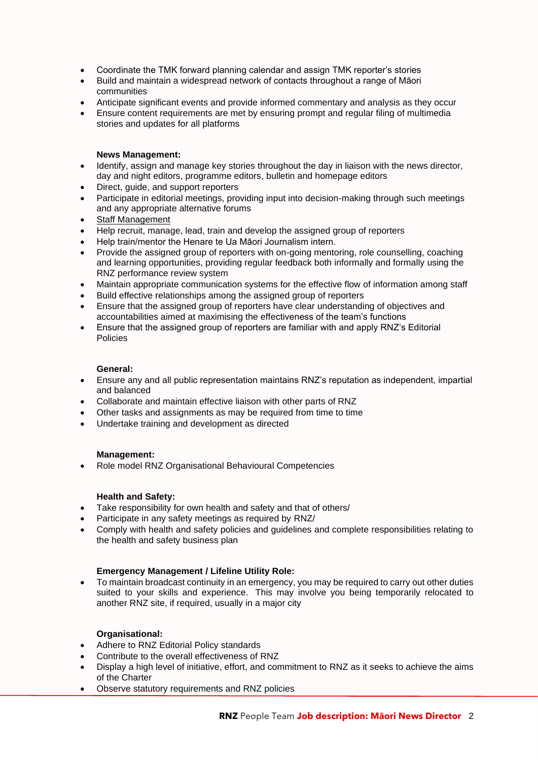- Coordinate the TMK forward planning calendar and assign TMK reporter's stories
- Build and maintain a widespread network of contacts throughout a range of Māori communities
- Anticipate significant events and provide informed commentary and analysis as they occur
- Ensure content requirements are met by ensuring prompt and regular filing of multimedia stories and updates for all platforms

#### **News Management:**

- Identify, assign and manage key stories throughout the day in liaison with the news director, day and night editors, programme editors, bulletin and homepage editors
- Direct, guide, and support reporters
- Participate in editorial meetings, providing input into decision-making through such meetings and any appropriate alternative forums
- Staff Management
- Help recruit, manage, lead, train and develop the assigned group of reporters
- Help train/mentor the Henare te Ua Māori Journalism intern.
- Provide the assigned group of reporters with on-going mentoring, role counselling, coaching and learning opportunities, providing regular feedback both informally and formally using the RNZ performance review system
- Maintain appropriate communication systems for the effective flow of information among staff
- Build effective relationships among the assigned group of reporters
- Ensure that the assigned group of reporters have clear understanding of objectives and accountabilities aimed at maximising the effectiveness of the team's functions
- Ensure that the assigned group of reporters are familiar with and apply RNZ's Editorial Policies

#### **General:**

- Ensure any and all public representation maintains RNZ's reputation as independent, impartial and balanced
- Collaborate and maintain effective liaison with other parts of RNZ
- Other tasks and assignments as may be required from time to time
- Undertake training and development as directed

#### **Management:**

• Role model RNZ Organisational Behavioural Competencies

#### **Health and Safety:**

- Take responsibility for own health and safety and that of others/
- Participate in any safety meetings as required by RNZ/
- Comply with health and safety policies and guidelines and complete responsibilities relating to the health and safety business plan

#### **Emergency Management / Lifeline Utility Role:**

• To maintain broadcast continuity in an emergency, you may be required to carry out other duties suited to your skills and experience. This may involve you being temporarily relocated to another RNZ site, if required, usually in a major city

#### **Organisational:**

- Adhere to RNZ Editorial Policy standards
- Contribute to the overall effectiveness of RNZ
- Display a high level of initiative, effort, and commitment to RNZ as it seeks to achieve the aims of the Charter
- Observe statutory requirements and RNZ policies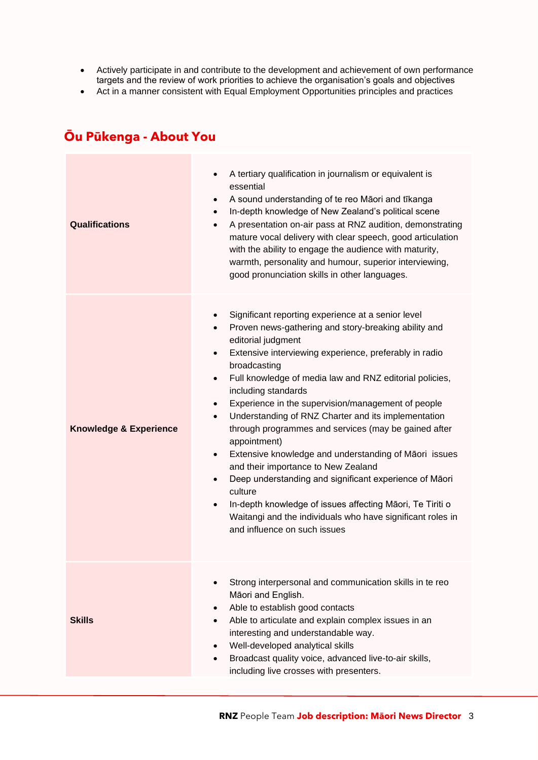- Actively participate in and contribute to the development and achievement of own performance targets and the review of work priorities to achieve the organisation's goals and objectives
- Act in a manner consistent with Equal Employment Opportunities principles and practices

## **Ōu Pūkenga - About You**

| <b>Qualifications</b>             | A tertiary qualification in journalism or equivalent is<br>essential<br>A sound understanding of te reo Māori and tīkanga<br>$\bullet$<br>In-depth knowledge of New Zealand's political scene<br>A presentation on-air pass at RNZ audition, demonstrating<br>$\bullet$<br>mature vocal delivery with clear speech, good articulation<br>with the ability to engage the audience with maturity,<br>warmth, personality and humour, superior interviewing,<br>good pronunciation skills in other languages.                                                                                                                                                                                                                                                                                                                                                                                                   |
|-----------------------------------|--------------------------------------------------------------------------------------------------------------------------------------------------------------------------------------------------------------------------------------------------------------------------------------------------------------------------------------------------------------------------------------------------------------------------------------------------------------------------------------------------------------------------------------------------------------------------------------------------------------------------------------------------------------------------------------------------------------------------------------------------------------------------------------------------------------------------------------------------------------------------------------------------------------|
| <b>Knowledge &amp; Experience</b> | Significant reporting experience at a senior level<br>Proven news-gathering and story-breaking ability and<br>$\bullet$<br>editorial judgment<br>Extensive interviewing experience, preferably in radio<br>$\bullet$<br>broadcasting<br>Full knowledge of media law and RNZ editorial policies,<br>$\bullet$<br>including standards<br>Experience in the supervision/management of people<br>$\bullet$<br>Understanding of RNZ Charter and its implementation<br>$\bullet$<br>through programmes and services (may be gained after<br>appointment)<br>Extensive knowledge and understanding of Māori issues<br>$\bullet$<br>and their importance to New Zealand<br>Deep understanding and significant experience of Māori<br>$\bullet$<br>culture<br>In-depth knowledge of issues affecting Māori, Te Tiriti o<br>Waitangi and the individuals who have significant roles in<br>and influence on such issues |
| <b>Skills</b>                     | Strong interpersonal and communication skills in te reo<br>Māori and English.<br>Able to establish good contacts<br>Able to articulate and explain complex issues in an<br>interesting and understandable way.<br>Well-developed analytical skills<br>$\bullet$<br>Broadcast quality voice, advanced live-to-air skills,<br>including live crosses with presenters.                                                                                                                                                                                                                                                                                                                                                                                                                                                                                                                                          |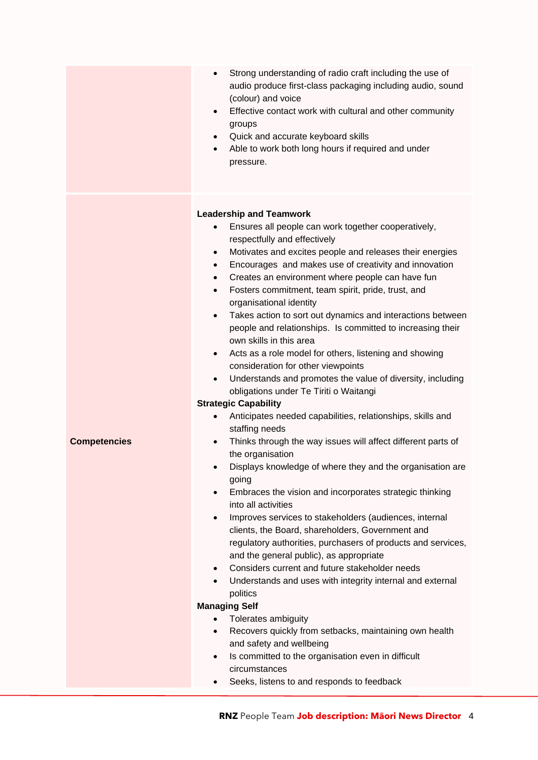|                     | Strong understanding of radio craft including the use of<br>$\bullet$<br>audio produce first-class packaging including audio, sound<br>(colour) and voice<br>Effective contact work with cultural and other community<br>$\bullet$<br>groups<br>Quick and accurate keyboard skills<br>$\bullet$<br>Able to work both long hours if required and under<br>$\bullet$<br>pressure.                                                                                                                                                                                                                                                                                                                                                                                                                                                                                                                                                                                                                                                                                                                                                                                                                                                                                                                                                                                                                                                                                                                                                                                                                                                                                                                                                                                                                                                                                                               |
|---------------------|-----------------------------------------------------------------------------------------------------------------------------------------------------------------------------------------------------------------------------------------------------------------------------------------------------------------------------------------------------------------------------------------------------------------------------------------------------------------------------------------------------------------------------------------------------------------------------------------------------------------------------------------------------------------------------------------------------------------------------------------------------------------------------------------------------------------------------------------------------------------------------------------------------------------------------------------------------------------------------------------------------------------------------------------------------------------------------------------------------------------------------------------------------------------------------------------------------------------------------------------------------------------------------------------------------------------------------------------------------------------------------------------------------------------------------------------------------------------------------------------------------------------------------------------------------------------------------------------------------------------------------------------------------------------------------------------------------------------------------------------------------------------------------------------------------------------------------------------------------------------------------------------------|
| <b>Competencies</b> | <b>Leadership and Teamwork</b><br>Ensures all people can work together cooperatively,<br>respectfully and effectively<br>Motivates and excites people and releases their energies<br>$\bullet$<br>Encourages and makes use of creativity and innovation<br>$\bullet$<br>Creates an environment where people can have fun<br>$\bullet$<br>Fosters commitment, team spirit, pride, trust, and<br>$\bullet$<br>organisational identity<br>Takes action to sort out dynamics and interactions between<br>$\bullet$<br>people and relationships. Is committed to increasing their<br>own skills in this area<br>Acts as a role model for others, listening and showing<br>$\bullet$<br>consideration for other viewpoints<br>Understands and promotes the value of diversity, including<br>٠<br>obligations under Te Tiriti o Waitangi<br><b>Strategic Capability</b><br>Anticipates needed capabilities, relationships, skills and<br>staffing needs<br>Thinks through the way issues will affect different parts of<br>$\bullet$<br>the organisation<br>Displays knowledge of where they and the organisation are<br>going<br>Embraces the vision and incorporates strategic thinking<br>$\bullet$<br>into all activities<br>Improves services to stakeholders (audiences, internal<br>$\bullet$<br>clients, the Board, shareholders, Government and<br>regulatory authorities, purchasers of products and services,<br>and the general public), as appropriate<br>Considers current and future stakeholder needs<br>$\bullet$<br>Understands and uses with integrity internal and external<br>$\bullet$<br>politics<br><b>Managing Self</b><br>Tolerates ambiguity<br>Recovers quickly from setbacks, maintaining own health<br>$\bullet$<br>and safety and wellbeing<br>Is committed to the organisation even in difficult<br>٠<br>circumstances<br>Seeks, listens to and responds to feedback |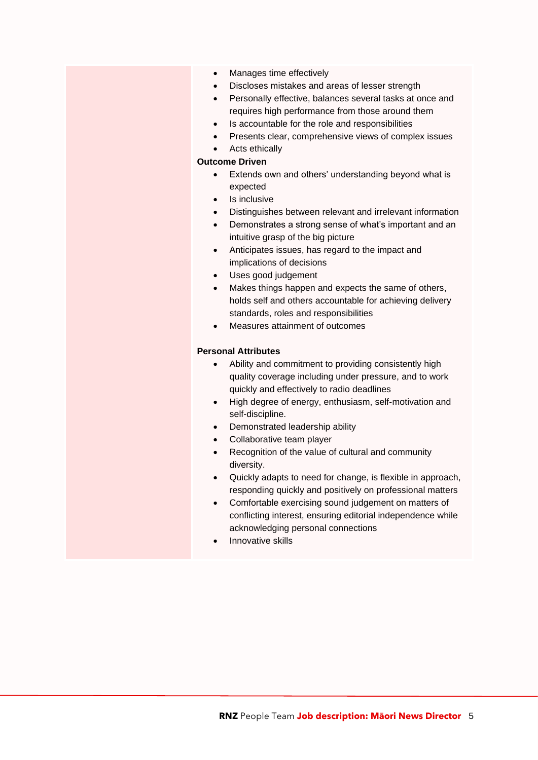- Manages time effectively
- Discloses mistakes and areas of lesser strength
- Personally effective, balances several tasks at once and requires high performance from those around them
- Is accountable for the role and responsibilities
- Presents clear, comprehensive views of complex issues
- Acts ethically

#### **Outcome Driven**

- Extends own and others' understanding beyond what is expected
- Is inclusive
- Distinguishes between relevant and irrelevant information
- Demonstrates a strong sense of what's important and an intuitive grasp of the big picture
- Anticipates issues, has regard to the impact and implications of decisions
- Uses good judgement
- Makes things happen and expects the same of others, holds self and others accountable for achieving delivery standards, roles and responsibilities
- Measures attainment of outcomes

#### **Personal Attributes**

- Ability and commitment to providing consistently high quality coverage including under pressure, and to work quickly and effectively to radio deadlines
- High degree of energy, enthusiasm, self-motivation and self-discipline.
- Demonstrated leadership ability
- Collaborative team player
- Recognition of the value of cultural and community diversity.
- Quickly adapts to need for change, is flexible in approach, responding quickly and positively on professional matters
- Comfortable exercising sound judgement on matters of conflicting interest, ensuring editorial independence while acknowledging personal connections
- Innovative skills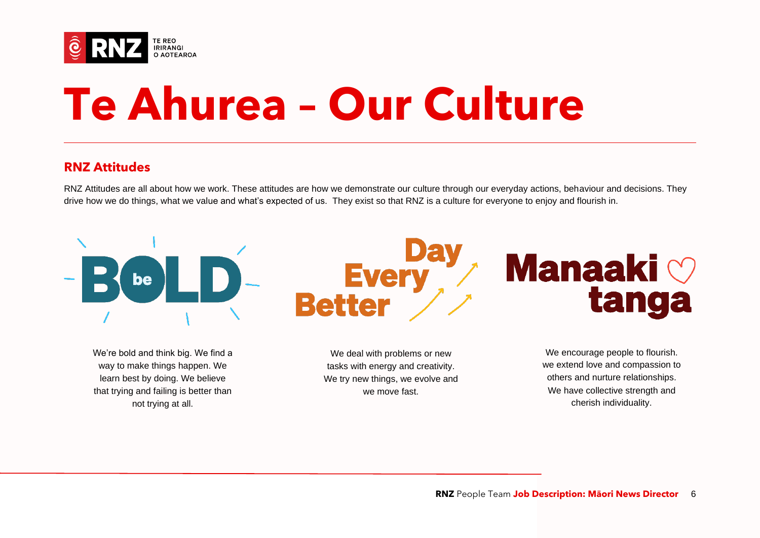

# **Te Ahurea – Our Culture**

### **RNZ Attitudes**

RNZ Attitudes are all about how we work. These attitudes are how we demonstrate our culture through our everyday actions, behaviour and decisions. They drive how we do things, what we value and what's expected of us. They exist so that RNZ is a culture for everyone to enjoy and flourish in.



way to make things happen. We learn best by doing. We believe that trying and failing is better than not trying at all.

tasks with energy and creativity. We try new things, we evolve and we move fast.

we extend love and compassion to others and nurture relationships. We have collective strength and cherish individuality.